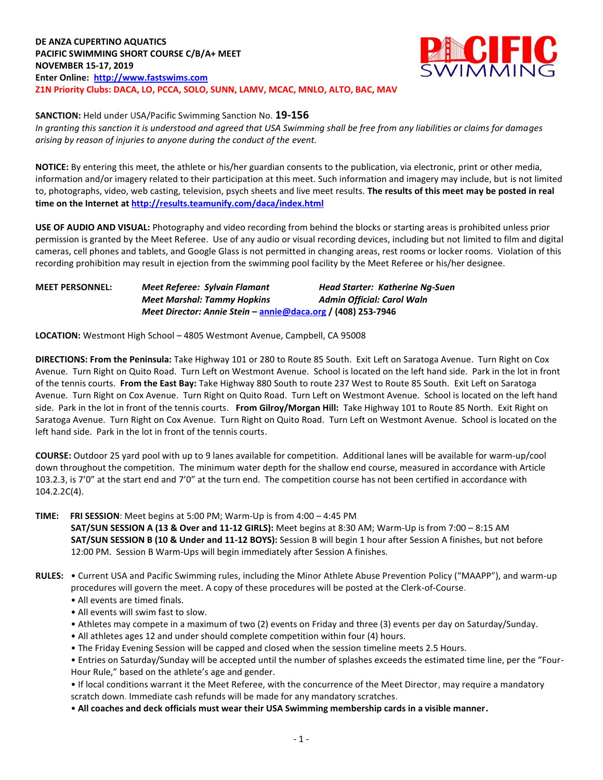**DE ANZA CUPERTINO AQUATICS PACIFIC SWIMMING SHORT COURSE C/B/A+ MEET NOVEMBER 15-17, 2019 Enter Online: [http://www.fastswims.com](http://www.fastswims.com/) Z1N Priority Clubs: DACA, LO, PCCA, SOLO, SUNN, LAMV, MCAC, MNLO, ALTO, BAC, MAV**



**SANCTION:** Held under USA/Pacific Swimming Sanction No. **19-156**

*In granting this sanction it is understood and agreed that USA Swimming shall be free from any liabilities or claims for damages arising by reason of injuries to anyone during the conduct of the event.*

**NOTICE:** By entering this meet, the athlete or his/her guardian consents to the publication, via electronic, print or other media, information and/or imagery related to their participation at this meet. Such information and imagery may include, but is not limited to, photographs, video, web casting, television, psych sheets and live meet results. **The results of this meet may be posted in real time on the Internet a[t http://results.teamunify.com/daca/index.html](http://results.teamunify.com/daca/index.html)**

**USE OF AUDIO AND VISUAL:** Photography and video recording from behind the blocks or starting areas is prohibited unless prior permission is granted by the Meet Referee. Use of any audio or visual recording devices, including but not limited to film and digital cameras, cell phones and tablets, and Google Glass is not permitted in changing areas, rest rooms or locker rooms. Violation of this recording prohibition may result in ejection from the swimming pool facility by the Meet Referee or his/her designee.

**MEET PERSONNEL:** *Meet Referee: Sylvain Flamant Head Starter: Katherine Ng-Suen Meet Marshal: Tammy Hopkins Admin Official: Carol Waln Meet Director: Annie Stein* **– [annie@daca.org](mailto:annie@daca.org) / (408) 253-7946**

**LOCATION:** Westmont High School – 4805 Westmont Avenue, Campbell, CA 95008

**DIRECTIONS: From the Peninsula:** Take Highway 101 or 280 to Route 85 South. Exit Left on Saratoga Avenue. Turn Right on Cox Avenue. Turn Right on Quito Road. Turn Left on Westmont Avenue. School is located on the left hand side. Park in the lot in front of the tennis courts. **From the East Bay:** Take Highway 880 South to route 237 West to Route 85 South. Exit Left on Saratoga Avenue. Turn Right on Cox Avenue. Turn Right on Quito Road. Turn Left on Westmont Avenue. School is located on the left hand side. Park in the lot in front of the tennis courts. **From Gilroy/Morgan Hill:** Take Highway 101 to Route 85 North. Exit Right on Saratoga Avenue. Turn Right on Cox Avenue. Turn Right on Quito Road. Turn Left on Westmont Avenue. School is located on the left hand side. Park in the lot in front of the tennis courts.

**COURSE:** Outdoor 25 yard pool with up to 9 lanes available for competition. Additional lanes will be available for warm-up/cool down throughout the competition. The minimum water depth for the shallow end course, measured in accordance with Article 103.2.3, is 7'0" at the start end and 7'0" at the turn end. The competition course has not been certified in accordance with 104.2.2C(4).

**TIME: FRI SESSION**: Meet begins at 5:00 PM; Warm-Up is from 4:00 – 4:45 PM **SAT/SUN SESSION A (13 & Over and 11-12 GIRLS):** Meet begins at 8:30 AM; Warm-Up is from 7:00 – 8:15 AM  **SAT/SUN SESSION B (10 & Under and 11-12 BOYS):** Session B will begin 1 hour after Session A finishes, but not before 12:00 PM. Session B Warm-Ups will begin immediately after Session A finishes.

- **RULES:** Current USA and Pacific Swimming rules, including the Minor Athlete Abuse Prevention Policy ("MAAPP"), and warm-up procedures will govern the meet. A copy of these procedures will be posted at the Clerk-of-Course.
	- All events are timed finals.
	- All events will swim fast to slow.
	- Athletes may compete in a maximum of two (2) events on Friday and three (3) events per day on Saturday/Sunday.
	- All athletes ages 12 and under should complete competition within four (4) hours.
	- The Friday Evening Session will be capped and closed when the session timeline meets 2.5 Hours.

• Entries on Saturday/Sunday will be accepted until the number of splashes exceeds the estimated time line, per the "Four-Hour Rule," based on the athlete's age and gender.

• If local conditions warrant it the Meet Referee, with the concurrence of the Meet Director, may require a mandatory scratch down. Immediate cash refunds will be made for any mandatory scratches.

• **All coaches and deck officials must wear their USA Swimming membership cards in a visible manner.**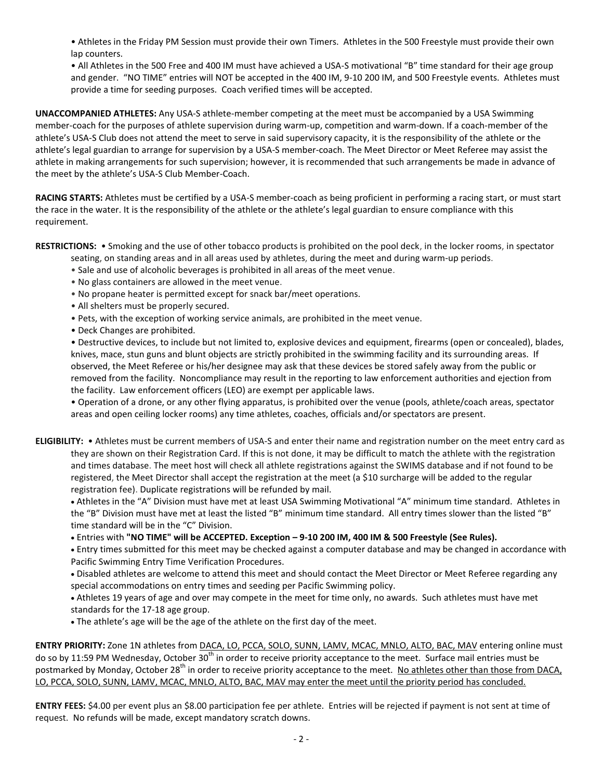• Athletes in the Friday PM Session must provide their own Timers. Athletes in the 500 Freestyle must provide their own lap counters.

• All Athletes in the 500 Free and 400 IM must have achieved a USA-S motivational "B" time standard for their age group and gender. "NO TIME" entries will NOT be accepted in the 400 IM, 9-10 200 IM, and 500 Freestyle events. Athletes must provide a time for seeding purposes. Coach verified times will be accepted.

**UNACCOMPANIED ATHLETES:** Any USA-S athlete-member competing at the meet must be accompanied by a USA Swimming member-coach for the purposes of athlete supervision during warm-up, competition and warm-down. If a coach-member of the athlete's USA-S Club does not attend the meet to serve in said supervisory capacity, it is the responsibility of the athlete or the athlete's legal guardian to arrange for supervision by a USA-S member-coach. The Meet Director or Meet Referee may assist the athlete in making arrangements for such supervision; however, it is recommended that such arrangements be made in advance of the meet by the athlete's USA-S Club Member-Coach.

**RACING STARTS:** Athletes must be certified by a USA-S member-coach as being proficient in performing a racing start, or must start the race in the water. It is the responsibility of the athlete or the athlete's legal guardian to ensure compliance with this requirement.

**RESTRICTIONS:** • Smoking and the use of other tobacco products is prohibited on the pool deck, in the locker rooms, in spectator

- seating, on standing areas and in all areas used by athletes, during the meet and during warm-up periods.
- Sale and use of alcoholic beverages is prohibited in all areas of the meet venue.
- No glass containers are allowed in the meet venue.
- No propane heater is permitted except for snack bar/meet operations.
- All shelters must be properly secured.
- Pets, with the exception of working service animals, are prohibited in the meet venue.
- Deck Changes are prohibited.

• Destructive devices, to include but not limited to, explosive devices and equipment, firearms (open or concealed), blades, knives, mace, stun guns and blunt objects are strictly prohibited in the swimming facility and its surrounding areas. If observed, the Meet Referee or his/her designee may ask that these devices be stored safely away from the public or removed from the facility. Noncompliance may result in the reporting to law enforcement authorities and ejection from the facility. Law enforcement officers (LEO) are exempt per applicable laws.

• Operation of a drone, or any other flying apparatus, is prohibited over the venue (pools, athlete/coach areas, spectator areas and open ceiling locker rooms) any time athletes, coaches, officials and/or spectators are present.

**ELIGIBILITY:** • Athletes must be current members of USA-S and enter their name and registration number on the meet entry card as they are shown on their Registration Card. If this is not done, it may be difficult to match the athlete with the registration and times database. The meet host will check all athlete registrations against the SWIMS database and if not found to be registered, the Meet Director shall accept the registration at the meet (a \$10 surcharge will be added to the regular registration fee). Duplicate registrations will be refunded by mail.

 Athletes in the "A" Division must have met at least USA Swimming Motivational "A" minimum time standard. Athletes in the "B" Division must have met at least the listed "B" minimum time standard. All entry times slower than the listed "B" time standard will be in the "C" Division.

Entries with **"NO TIME" will be ACCEPTED. Exception – 9-10 200 IM, 400 IM & 500 Freestyle (See Rules).**

 Entry times submitted for this meet may be checked against a computer database and may be changed in accordance with Pacific Swimming Entry Time Verification Procedures.

 Disabled athletes are welcome to attend this meet and should contact the Meet Director or Meet Referee regarding any special accommodations on entry times and seeding per Pacific Swimming policy.

 Athletes 19 years of age and over may compete in the meet for time only, no awards. Such athletes must have met standards for the 17-18 age group.

The athlete's age will be the age of the athlete on the first day of the meet.

**ENTRY PRIORITY:** Zone 1N athletes from DACA, LO, PCCA, SOLO, SUNN, LAMV, MCAC, MNLO, ALTO, BAC, MAV entering online must do so by 11:59 PM Wednesday, October 30<sup>th</sup> in order to receive priority acceptance to the meet. Surface mail entries must be postmarked by Monday, October 28<sup>th</sup> in order to receive priority acceptance to the meet. No athletes other than those from DACA, LO, PCCA, SOLO, SUNN, LAMV, MCAC, MNLO, ALTO, BAC, MAV may enter the meet until the priority period has concluded.

**ENTRY FEES:** \$4.00 per event plus an \$8.00 participation fee per athlete. Entries will be rejected if payment is not sent at time of request. No refunds will be made, except mandatory scratch downs.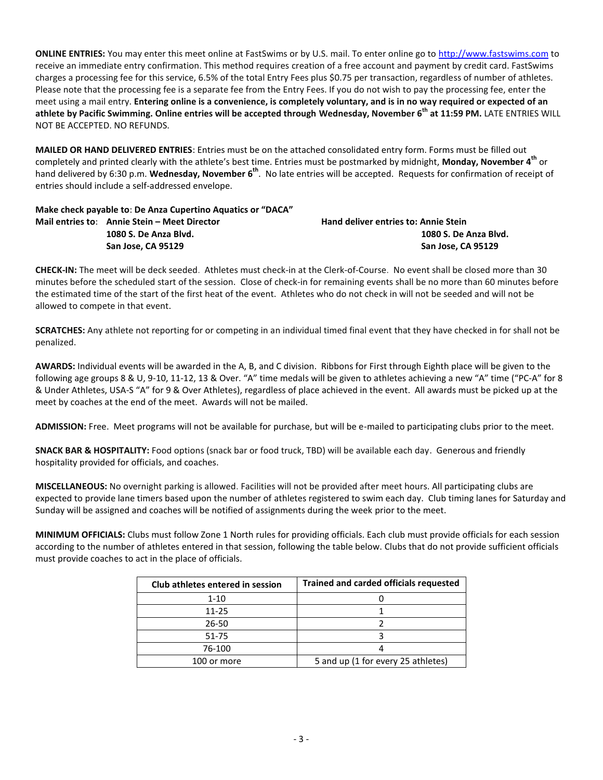**ONLINE ENTRIES:** You may enter this meet online at FastSwims or by U.S. mail. To enter online go to [http://www.fastswims.com](http://www.fastswims.com/) to receive an immediate entry confirmation. This method requires creation of a free account and payment by credit card. FastSwims charges a processing fee for this service, 6.5% of the total Entry Fees plus \$0.75 per transaction, regardless of number of athletes. Please note that the processing fee is a separate fee from the Entry Fees. If you do not wish to pay the processing fee, enter the meet using a mail entry. **Entering online is a convenience, is completely voluntary, and is in no way required or expected of an athlete by Pacific Swimming. Online entries will be accepted through Wednesday, November 6th at 11:59 PM.** LATE ENTRIES WILL NOT BE ACCEPTED. NO REFUNDS.

**MAILED OR HAND DELIVERED ENTRIES**: Entries must be on the attached consolidated entry form. Forms must be filled out completely and printed clearly with the athlete's best time. Entries must be postmarked by midnight, **Monday, November 4 th** or hand delivered by 6:30 p.m. Wednesday, November 6<sup>th</sup>. No late entries will be accepted. Requests for confirmation of receipt of entries should include a self-addressed envelope.

## **Make check payable to**: **De Anza Cupertino Aquatics or "DACA" Mail entries to: Annie Stein – Meet Director Hand deliver entries to: Annie Stein 1080 S. De Anza Blvd. 1080 S. De Anza Blvd. San Jose, CA 95129 San Jose, CA 95129**

**CHECK-IN:** The meet will be deck seeded. Athletes must check-in at the Clerk-of-Course. No event shall be closed more than 30 minutes before the scheduled start of the session. Close of check-in for remaining events shall be no more than 60 minutes before the estimated time of the start of the first heat of the event. Athletes who do not check in will not be seeded and will not be allowed to compete in that event.

**SCRATCHES:** Any athlete not reporting for or competing in an individual timed final event that they have checked in for shall not be penalized.

**AWARDS:** Individual events will be awarded in the A, B, and C division. Ribbons for First through Eighth place will be given to the following age groups 8 & U, 9-10, 11-12, 13 & Over. "A" time medals will be given to athletes achieving a new "A" time ("PC-A" for 8 & Under Athletes, USA-S "A" for 9 & Over Athletes), regardless of place achieved in the event. All awards must be picked up at the meet by coaches at the end of the meet. Awards will not be mailed.

**ADMISSION:** Free. Meet programs will not be available for purchase, but will be e-mailed to participating clubs prior to the meet.

**SNACK BAR & HOSPITALITY:** Food options (snack bar or food truck, TBD) will be available each day. Generous and friendly hospitality provided for officials, and coaches.

**MISCELLANEOUS:** No overnight parking is allowed. Facilities will not be provided after meet hours. All participating clubs are expected to provide lane timers based upon the number of athletes registered to swim each day. Club timing lanes for Saturday and Sunday will be assigned and coaches will be notified of assignments during the week prior to the meet.

**MINIMUM OFFICIALS:** Clubs must follow Zone 1 North rules for providing officials. Each club must provide officials for each session according to the number of athletes entered in that session, following the table below. Clubs that do not provide sufficient officials must provide coaches to act in the place of officials.

| Club athletes entered in session | <b>Trained and carded officials requested</b> |
|----------------------------------|-----------------------------------------------|
| $1 - 10$                         |                                               |
| 11-25                            |                                               |
| 26-50                            |                                               |
| 51-75                            |                                               |
| 76-100                           |                                               |
| 100 or more                      | 5 and up (1 for every 25 athletes)            |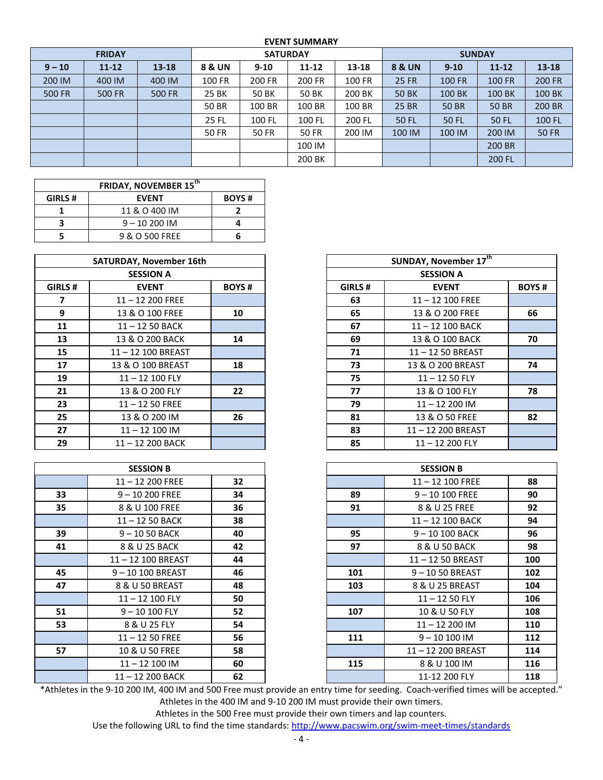## **EVENT SUMMARY**

|          | <b>FRIDAY</b> |               |                   | <b>SATURDAY</b> |           |        | <b>SUNDAY</b>     |               |               |               |  |  |
|----------|---------------|---------------|-------------------|-----------------|-----------|--------|-------------------|---------------|---------------|---------------|--|--|
| $9 - 10$ | $11 - 12$     | $13 - 18$     | <b>8 &amp; UN</b> | $9 - 10$        | $11 - 12$ | 13-18  | <b>8 &amp; UN</b> | $9 - 10$      | $11 - 12$     | $13 - 18$     |  |  |
| 200 IM   | 400 IM        | 400 IM        | 100 FR            | 200 FR          | 200 FR    | 100 FR | <b>25 FR</b>      | <b>100 FR</b> | <b>100 FR</b> | <b>200 FR</b> |  |  |
| 500 FR   | <b>500 FR</b> | <b>500 FR</b> | 25 BK             | 50 BK           | 50 BK     | 200 BK | <b>50 BK</b>      | 100 BK        | 100 BK        | 100 BK        |  |  |
|          |               |               | <b>50 BR</b>      | 100 BR          | 100 BR    | 100 BR | <b>25 BR</b>      | <b>50 BR</b>  | 50 BR         | 200 BR        |  |  |
|          |               |               | 25 FL             | 100 FL          | 100 FL    | 200 FL | <b>50 FL</b>      | <b>50 FL</b>  | 50 FL         | 100 FL        |  |  |
|          |               |               | 50 FR             | 50 FR           | 50 FR     | 200 IM | 100 IM            | 100 IM        | 200 IM        | <b>50 FR</b>  |  |  |
|          |               |               |                   |                 | 100 IM    |        |                   |               | 200 BR        |               |  |  |
|          |               |               |                   |                 | 200 BK    |        |                   |               | 200 FL        |               |  |  |

| GIRLS # | <b>EVENT</b>   | <b>BOYS#</b> |
|---------|----------------|--------------|
|         | 11 & O 400 IM  |              |
|         | $9 - 10200$ IM |              |
|         | 9 & O 500 FREE |              |

|         | <b>SATURDAY, November 16th</b> |              |        | <b>SUNDAY, November 17th</b> |
|---------|--------------------------------|--------------|--------|------------------------------|
|         | <b>SESSION A</b>               |              |        | <b>SESSION A</b>             |
| GIRLS # | <b>EVENT</b>                   | <b>BOYS#</b> | GIRLS# | <b>EVENT</b>                 |
| 7       | $11 - 12200$ FREE              |              | 63     | $11 - 12$ 100 FREE           |
| 9       | 13 & O 100 FREE                | 10           | 65     | 13 & O 200 FREE              |
| 11      | $11 - 1250$ BACK               |              | 67     | 11-12 100 BACK               |
| 13      | 13 & O 200 BACK                | 14           | 69     | 13 & O 100 BACK              |
| 15      | 11-12 100 BREAST               |              | 71     | 11-12 50 BREAST              |
| 17      | 13 & O 100 BREAST              | 18           | 73     | 13 & O 200 BREAST            |
| 19      | $11 - 12$ 100 FLY              |              | 75     | $11 - 1250$ FLY              |
| 21      | 13 & O 200 FLY                 | 22           | 77     | 13 & O 100 FLY               |
| 23      | $11 - 1250$ FREE               |              | 79     | $11 - 12200$ IM              |
| 25      | 13 & O 200 IM                  | 26           | 81     | 13 & O 50 FREE               |
| 27      | $11 - 12100$ IM                |              | 83     | 11-12 200 BREAST             |
| 29      | 11-12 200 BACK                 |              | 85     | $11 - 12200$ FLY             |

|    | <b>SESSION B</b> |    |
|----|------------------|----|
|    | 11-12 200 FREE   | 32 |
| 33 | 9 - 10 200 FREE  | 34 |
| 35 | 8 & U 100 FREE   | 36 |
|    | 11-12 50 BACK    | 38 |
| 39 | $9 - 1050$ BACK  | 40 |
| 41 | 8 & U 25 BACK    | 42 |
|    | 11-12 100 BREAST | 44 |
| 45 | 9-10 100 BREAST  | 46 |
| 47 | 8 & U 50 BREAST  | 48 |
|    | 11-12 100 FLY    | 50 |
| 51 | 9 - 10 100 FLY   | 52 |
| 53 | 8 & U 25 FLY     | 54 |
|    | $11 - 1250$ FREE | 56 |
| 57 | 10 & U 50 FREE   | 58 |
|    | 11-12 100 IM     | 60 |
|    | 11-12 200 BACK   | 62 |

|                  | <b>SATURDAY, November 16th</b> |              | SUNDAY, November 17th |                    |              |  |  |
|------------------|--------------------------------|--------------|-----------------------|--------------------|--------------|--|--|
| <b>SESSION A</b> |                                |              | <b>SESSION A</b>      |                    |              |  |  |
| <b>GIRLS #</b>   | <b>EVENT</b>                   | <b>BOYS#</b> | GIRLS #               | <b>EVENT</b>       | <b>BOYS#</b> |  |  |
| 7                | $11 - 12200$ FREE              |              | 63                    | $11 - 12$ 100 FREE |              |  |  |
| 9                | 13 & O 100 FREE                | 10           | 65                    | 13 & O 200 FREE    | 66           |  |  |
| 11               | $11 - 1250$ BACK               |              | 67                    | 11-12 100 BACK     |              |  |  |
| 13               | 13 & O 200 BACK                | 14           | 69                    | 13 & O 100 BACK    | 70           |  |  |
| 15               | 11-12 100 BREAST               |              | 71                    | 11-12 50 BREAST    |              |  |  |
| 17               | 13 & O 100 BREAST              | 18           | 73                    | 13 & O 200 BREAST  | 74           |  |  |
| 19               | 11-12 100 FLY                  |              | 75                    | $11 - 1250$ FLY    |              |  |  |
| 21               | 13 & O 200 FLY                 | 22           | 77                    | 13 & O 100 FLY     | 78           |  |  |
| 23               | $11 - 1250$ FREE               |              | 79                    | $11 - 12200$ IM    |              |  |  |
| 25               | 13 & O 200 IM                  | 26           | 81                    | 13 & O 50 FREE     | 82           |  |  |
| 27               | $11 - 12100$ IM                |              | 83                    | 11-12 200 BREAST   |              |  |  |
| 29               | 11-12 200 BACK                 |              | 85                    | $11 - 12200$ FLY   |              |  |  |

|    | <b>SESSION B</b>  |    |     | <b>SESSION B</b>   |     |
|----|-------------------|----|-----|--------------------|-----|
|    | $11 - 12200$ FREE | 32 |     | $11 - 12$ 100 FREE | 88  |
| 33 | $9 - 10200$ FREE  | 34 | 89  | $9 - 10 100$ FREE  | 90  |
| 35 | 8 & U 100 FREE    | 36 | 91  | 8 & U 25 FREE      | 92  |
|    | $11 - 1250$ BACK  | 38 |     | 11-12 100 BACK     | 94  |
| 39 | $9 - 1050$ BACK   | 40 | 95  | $9 - 10100$ BACK   | 96  |
| 41 | 8 & U 25 BACK     | 42 | 97  | 8 & U 50 BACK      | 98  |
|    | 11-12 100 BREAST  | 44 |     | 11-12 50 BREAST    | 100 |
| 45 | 9-10 100 BREAST   | 46 | 101 | 9-1050 BREAST      | 102 |
| 47 | 8 & U 50 BREAST   | 48 | 103 | 8 & U 25 BREAST    | 104 |
|    | 11-12 100 FLY     | 50 |     | $11 - 1250$ FLY    | 106 |
| 51 | $9 - 10100$ FLY   | 52 | 107 | 10 & U 50 FLY      | 108 |
| 53 | 8 & U 25 FLY      | 54 |     | $11 - 12200$ IM    | 110 |
|    | $11 - 1250$ FREE  | 56 | 111 | $9 - 10100$ IM     | 112 |
| 57 | 10 & U 50 FREE    | 58 |     | 11-12 200 BREAST   | 114 |
|    | $11 - 12100$ IM   | 60 | 115 | 8 & U 100 IM       | 116 |
|    | $11 - 12200$ BACK | 62 |     | 11-12 200 FLY      | 118 |

\*Athletes in the 9-10 200 IM, 400 IM and 500 Free must provide an entry time for seeding. Coach-verified times will be accepted." Athletes in the 400 IM and 9-10 200 IM must provide their own timers.

Athletes in the 500 Free must provide their own timers and lap counters.

Use the following URL to find the time standards: <http://www.pacswim.org/swim-meet-times/standards>